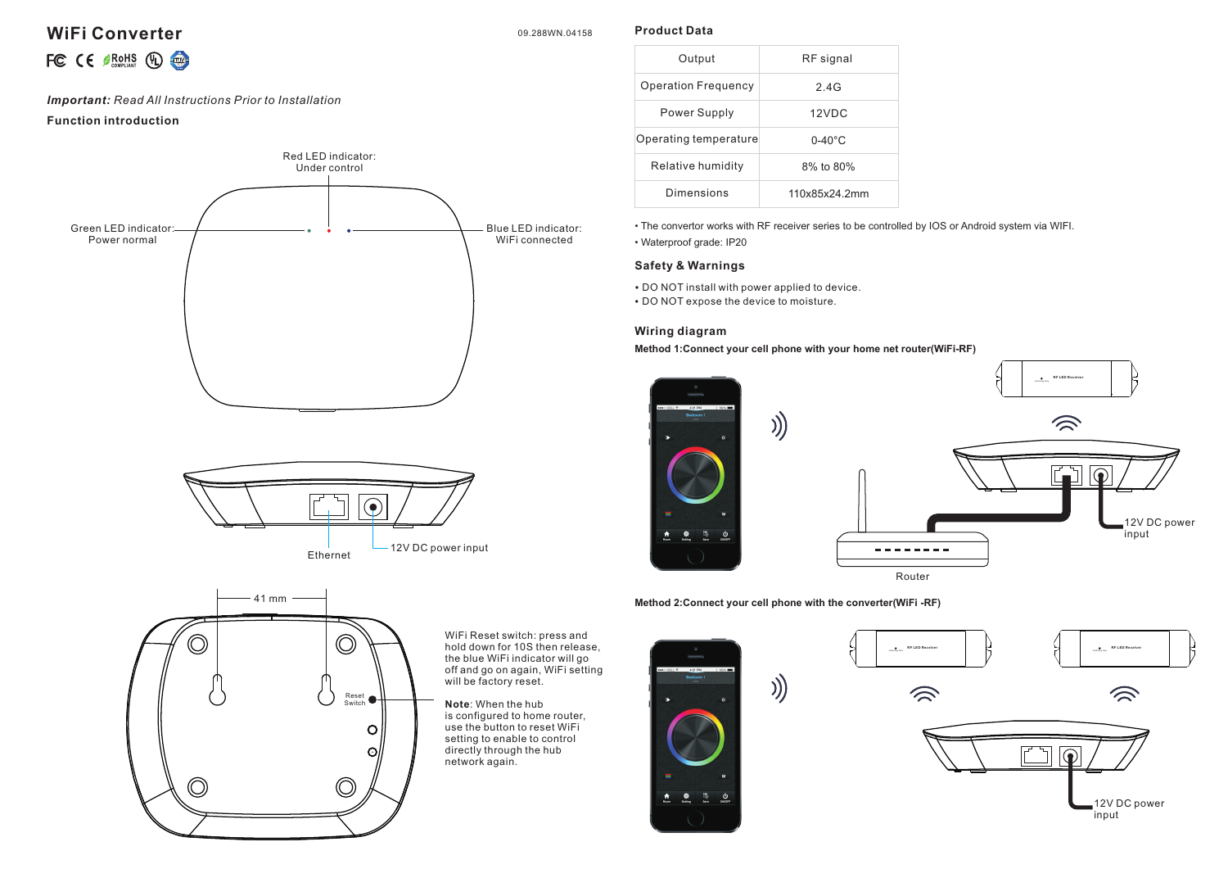## **WIFI Converter** 09.288WN.04158

**Product Data**

# FC  $C \in \mathcal{G}$  RoHS  $\left(\mathbb{Q}\right)$   $\left(\frac{1}{\mathbb{Q}}\right)$

#### *Important: Read All Instructions Prior to Installation*

#### **Function introduction**







WiFi Reset switch: press and hold down for 10S then release, the blue WiFi indicator will go off and go on again, WiFi setting will be factory reset.

**Note**: When the hub is configured to home router, use the button to reset WiFi setting to enable to control directly through the hub network again.



• The convertor works with RF receiver series to be controlled by IOS or Android system via WIFI.

• Waterproof grade: IP20

#### **Safety & Warnings**

- DO NOT install with power applied to device.
- DO NOT expose the device to moisture.

#### **Wiring diagram**

**Method 1:Connect your cell phone with your home net router(WiFi-RF)**



**Method 2:Connect your cell phone with the converter(WiFi -RF)**

))